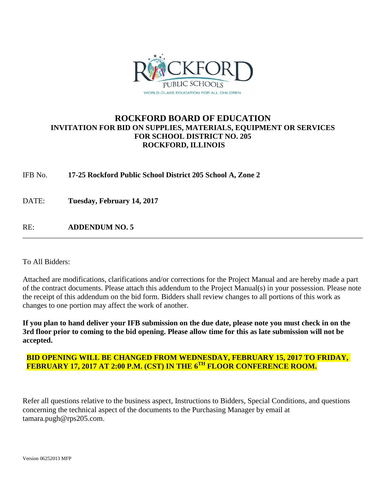

# **ROCKFORD BOARD OF EDUCATION INVITATION FOR BID ON SUPPLIES, MATERIALS, EQUIPMENT OR SERVICES FOR SCHOOL DISTRICT NO. 205 ROCKFORD, ILLINOIS**

IFB No. **17-25 Rockford Public School District 205 School A, Zone 2**

DATE: **Tuesday, February 14, 2017**

RE: **ADDENDUM NO. 5**

To All Bidders:

Attached are modifications, clarifications and/or corrections for the Project Manual and are hereby made a part of the contract documents. Please attach this addendum to the Project Manual(s) in your possession. Please note the receipt of this addendum on the bid form. Bidders shall review changes to all portions of this work as changes to one portion may affect the work of another.

**If you plan to hand deliver your IFB submission on the due date, please note you must check in on the 3rd floor prior to coming to the bid opening. Please allow time for this as late submission will not be accepted.**

## **BID OPENING WILL BE CHANGED FROM WEDNESDAY, FEBRUARY 15, 2017 TO FRIDAY, FEBRUARY 17, 2017 AT 2:00 P.M. (CST) IN THE 6TH FLOOR CONFERENCE ROOM.**

Refer all questions relative to the business aspect, Instructions to Bidders, Special Conditions, and questions concerning the technical aspect of the documents to the Purchasing Manager by email at tamara.pugh@rps205.com.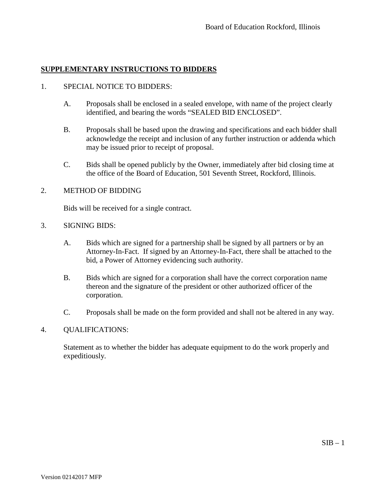## 1. SPECIAL NOTICE TO BIDDERS:

- A. Proposals shall be enclosed in a sealed envelope, with name of the project clearly identified, and bearing the words "SEALED BID ENCLOSED".
- B. Proposals shall be based upon the drawing and specifications and each bidder shall acknowledge the receipt and inclusion of any further instruction or addenda which may be issued prior to receipt of proposal.
- C. Bids shall be opened publicly by the Owner, immediately after bid closing time at the office of the Board of Education, 501 Seventh Street, Rockford, Illinois.

## 2. METHOD OF BIDDING

Bids will be received for a single contract.

## 3. SIGNING BIDS:

- A. Bids which are signed for a partnership shall be signed by all partners or by an Attorney-In-Fact. If signed by an Attorney-In-Fact, there shall be attached to the bid, a Power of Attorney evidencing such authority.
- B. Bids which are signed for a corporation shall have the correct corporation name thereon and the signature of the president or other authorized officer of the corporation.
- C. Proposals shall be made on the form provided and shall not be altered in any way.

## 4. QUALIFICATIONS:

Statement as to whether the bidder has adequate equipment to do the work properly and expeditiously.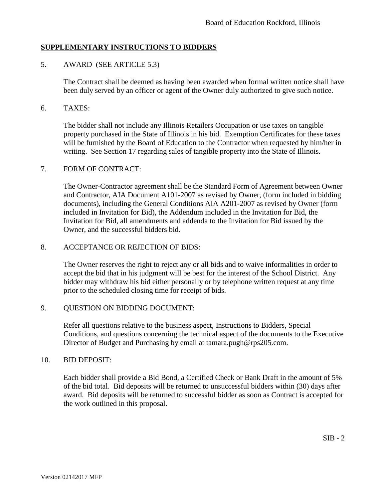## 5. AWARD (SEE ARTICLE 5.3)

The Contract shall be deemed as having been awarded when formal written notice shall have been duly served by an officer or agent of the Owner duly authorized to give such notice.

### 6. TAXES:

The bidder shall not include any Illinois Retailers Occupation or use taxes on tangible property purchased in the State of Illinois in his bid. Exemption Certificates for these taxes will be furnished by the Board of Education to the Contractor when requested by him/her in writing. See Section 17 regarding sales of tangible property into the State of Illinois.

#### 7. FORM OF CONTRACT:

The Owner-Contractor agreement shall be the Standard Form of Agreement between Owner and Contractor, AIA Document A101-2007 as revised by Owner, (form included in bidding documents), including the General Conditions AIA A201-2007 as revised by Owner (form included in Invitation for Bid), the Addendum included in the Invitation for Bid, the Invitation for Bid, all amendments and addenda to the Invitation for Bid issued by the Owner, and the successful bidders bid.

#### 8. ACCEPTANCE OR REJECTION OF BIDS:

The Owner reserves the right to reject any or all bids and to waive informalities in order to accept the bid that in his judgment will be best for the interest of the School District. Any bidder may withdraw his bid either personally or by telephone written request at any time prior to the scheduled closing time for receipt of bids.

## 9. QUESTION ON BIDDING DOCUMENT:

Refer all questions relative to the business aspect, Instructions to Bidders, Special Conditions, and questions concerning the technical aspect of the documents to the Executive Director of Budget and Purchasing by email at tamara.pugh@rps205.com.

#### 10. BID DEPOSIT:

Each bidder shall provide a Bid Bond, a Certified Check or Bank Draft in the amount of 5% of the bid total. Bid deposits will be returned to unsuccessful bidders within (30) days after award. Bid deposits will be returned to successful bidder as soon as Contract is accepted for the work outlined in this proposal.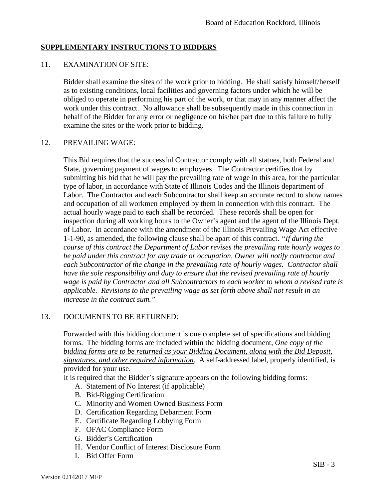#### 11. EXAMINATION OF SITE:

Bidder shall examine the sites of the work prior to bidding. He shall satisfy himself/herself as to existing conditions, local facilities and governing factors under which he will be obliged to operate in performing his part of the work, or that may in any manner affect the work under this contract. No allowance shall be subsequently made in this connection in behalf of the Bidder for any error or negligence on his/her part due to this failure to fully examine the sites or the work prior to bidding.

#### 12. PREVAILING WAGE:

This Bid requires that the successful Contractor comply with all statues, both Federal and State, governing payment of wages to employees. The Contractor certifies that by submitting his bid that he will pay the prevailing rate of wage in this area, for the particular type of labor, in accordance with State of Illinois Codes and the Illinois department of Labor. The Contractor and each Subcontractor shall keep an accurate record to show names and occupation of all workmen employed by them in connection with this contract. The actual hourly wage paid to each shall be recorded. These records shall be open for inspection during all working hours to the Owner's agent and the agent of the Illinois Dept. of Labor. In accordance with the amendment of the Illinois Prevailing Wage Act effective 1-1-90, as amended, the following clause shall be apart of this contract. *"If during the course of this contract the Department of Labor revises the prevailing rate hourly wages to be paid under this contract for any trade or occupation, Owner will notify contractor and each Subcontractor of the change in the prevailing rate of hourly wages. Contractor shall have the sole responsibility and duty to ensure that the revised prevailing rate of hourly wage is paid by Contractor and all Subcontractors to each worker to whom a revised rate is applicable. Revisions to the prevailing wage as set forth above shall not result in an increase in the contract sum."*

## 13. DOCUMENTS TO BE RETURNED:

Forwarded with this bidding document is one complete set of specifications and bidding forms. The bidding forms are included within the bidding document, *One copy of the bidding forms are to be returned as your Bidding Document, along with the Bid Deposit, signatures, and other required information*. A self-addressed label, properly identified, is provided for your use.

It is required that the Bidder's signature appears on the following bidding forms:

- A. Statement of No Interest (if applicable)
- B. Bid-Rigging Certification
- C. Minority and Women Owned Business Form
- D. Certification Regarding Debarment Form
- E. Certificate Regarding Lobbying Form
- F. OFAC Compliance Form
- G. Bidder's Certification
- H. Vendor Conflict of Interest Disclosure Form
- I. Bid Offer Form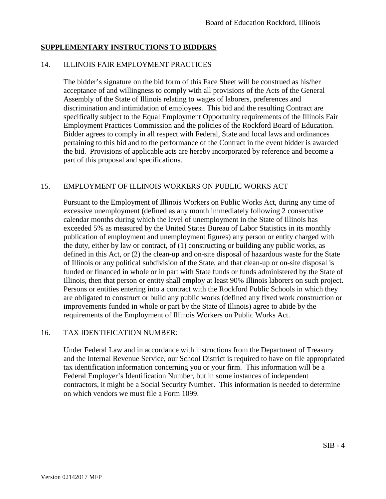### 14. ILLINOIS FAIR EMPLOYMENT PRACTICES

The bidder's signature on the bid form of this Face Sheet will be construed as his/her acceptance of and willingness to comply with all provisions of the Acts of the General Assembly of the State of Illinois relating to wages of laborers, preferences and discrimination and intimidation of employees. This bid and the resulting Contract are specifically subject to the Equal Employment Opportunity requirements of the Illinois Fair Employment Practices Commission and the policies of the Rockford Board of Education. Bidder agrees to comply in all respect with Federal, State and local laws and ordinances pertaining to this bid and to the performance of the Contract in the event bidder is awarded the bid. Provisions of applicable acts are hereby incorporated by reference and become a part of this proposal and specifications.

## 15. EMPLOYMENT OF ILLINOIS WORKERS ON PUBLIC WORKS ACT

Pursuant to the Employment of Illinois Workers on Public Works Act, during any time of excessive unemployment (defined as any month immediately following 2 consecutive calendar months during which the level of unemployment in the State of Illinois has exceeded 5% as measured by the United States Bureau of Labor Statistics in its monthly publication of employment and unemployment figures) any person or entity charged with the duty, either by law or contract, of (1) constructing or building any public works, as defined in this Act, or (2) the clean-up and on-site disposal of hazardous waste for the State of Illinois or any political subdivision of the State, and that clean-up or on-site disposal is funded or financed in whole or in part with State funds or funds administered by the State of Illinois, then that person or entity shall employ at least 90% Illinois laborers on such project. Persons or entities entering into a contract with the Rockford Public Schools in which they are obligated to construct or build any public works (defined any fixed work construction or improvements funded in whole or part by the State of Illinois) agree to abide by the requirements of the Employment of Illinois Workers on Public Works Act.

## 16. TAX IDENTIFICATION NUMBER:

Under Federal Law and in accordance with instructions from the Department of Treasury and the Internal Revenue Service, our School District is required to have on file appropriated tax identification information concerning you or your firm. This information will be a Federal Employer's Identification Number, but in some instances of independent contractors, it might be a Social Security Number. This information is needed to determine on which vendors we must file a Form 1099.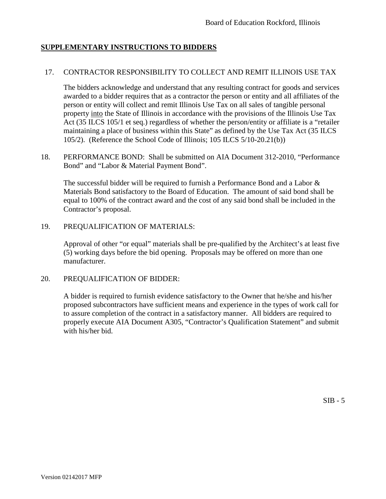#### 17. CONTRACTOR RESPONSIBILITY TO COLLECT AND REMIT ILLINOIS USE TAX

The bidders acknowledge and understand that any resulting contract for goods and services awarded to a bidder requires that as a contractor the person or entity and all affiliates of the person or entity will collect and remit Illinois Use Tax on all sales of tangible personal property into the State of Illinois in accordance with the provisions of the Illinois Use Tax Act (35 ILCS 105/1 et seq.) regardless of whether the person/entity or affiliate is a "retailer maintaining a place of business within this State" as defined by the Use Tax Act (35 ILCS 105/2). (Reference the School Code of Illinois; 105 ILCS 5/10-20.21(b))

18. PERFORMANCE BOND: Shall be submitted on AIA Document 312-2010, "Performance Bond" and "Labor & Material Payment Bond".

The successful bidder will be required to furnish a Performance Bond and a Labor & Materials Bond satisfactory to the Board of Education. The amount of said bond shall be equal to 100% of the contract award and the cost of any said bond shall be included in the Contractor's proposal.

19. PREQUALIFICATION OF MATERIALS:

Approval of other "or equal" materials shall be pre-qualified by the Architect's at least five (5) working days before the bid opening. Proposals may be offered on more than one manufacturer.

20. PREQUALIFICATION OF BIDDER:

A bidder is required to furnish evidence satisfactory to the Owner that he/she and his/her proposed subcontractors have sufficient means and experience in the types of work call for to assure completion of the contract in a satisfactory manner. All bidders are required to properly execute AIA Document A305, "Contractor's Qualification Statement" and submit with his/her bid.